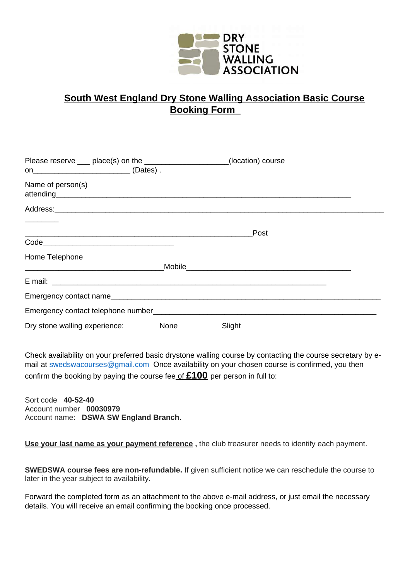

## **South West England Dry Stone Walling Association Basic Course Booking Form**

| Please reserve ___ place(s) on the _____________________(location) course                                                                                                                                                      |        |
|--------------------------------------------------------------------------------------------------------------------------------------------------------------------------------------------------------------------------------|--------|
|                                                                                                                                                                                                                                |        |
| Name of person(s)<br>attending and the contract of the contract of the contract of the contract of the contract of the contract of                                                                                             |        |
| Address: Address: Address: Address: Address: Address: Address: Address: Address: Address: Address: A                                                                                                                           |        |
|                                                                                                                                                                                                                                | Post   |
|                                                                                                                                                                                                                                |        |
| Home Telephone                                                                                                                                                                                                                 |        |
| <u> 1989 - Johann Barn, fransk politik amerikansk politik (d. 1989)</u>                                                                                                                                                        |        |
|                                                                                                                                                                                                                                |        |
| Emergency contact name experience of the state of the state of the state of the state of the state of the state of the state of the state of the state of the state of the state of the state of the state of the state of the |        |
| Emergency contact telephone number                                                                                                                                                                                             |        |
| Dry stone walling experience: None                                                                                                                                                                                             | Slight |

Check availability on your preferred basic drystone walling course by contacting the course secretary by email at **swedswacourses@gmail.com** Once availability on your chosen course is confirmed, you then confirm the booking by paying the course feeof **£100** per person in full to:

Sort code **40-52-40** Account number **00030979** Account name: **DSWA SW England Branch**.

**Use your last name as your payment reference ,** the club treasurer needs to identify each payment.

**SWEDSWA course fees are non-refundable.** If given sufficient notice we can reschedule the course to later in the year subject to availability.

Forward the completed form as an attachment to the above e-mail address, or just email the necessary details. You will receive an email confirming the booking once processed.